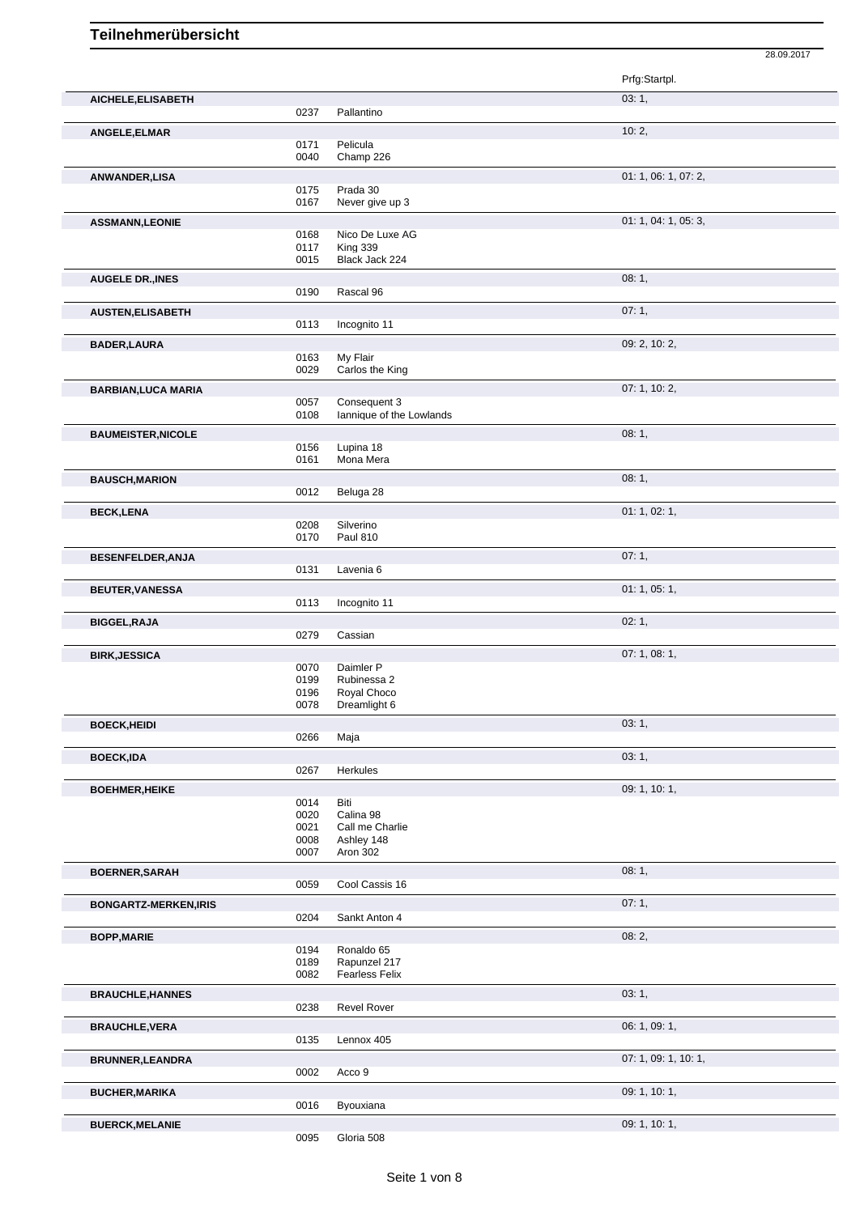Prfg:Startpl. **AICHELE,ELISABETH** 03: 1, 0237 Pallantino **ANGELE,ELMAR** 10: 2, 0171 Pelicula<br>0040 Champ Champ 226 **ANWANDER, LISA** 01: 1, 06: 1, 07: 2, 07: 2, 07: 2, 07: 2, 07: 2, 07: 2, 07: 2, 07: 2, 07: 2, 07: 2, 07: 2, 07: 2, 07: 2, 07: 2, 07: 2, 07: 2, 07: 2, 07: 2, 07: 2, 07: 2, 07: 2, 07: 2, 07: 2, 07: 2, 07: 2, 07: 2, 07: 2, 07 0175 Prada 30<br>0167 Never giv Never give up 3 **ASSMANN,LEONIE** 01: 1, 04: 1, 05: 3, 0168 Nico De Luxe AG<br>0117 King 339 0117 King 339<br>0015 Black Jac Black Jack 224 **AUGELE DR.,INES** 08: 1, Rascal 96 **AUSTEN,ELISABETH** 07: 1, 0113 Incognito 11 **BADER,LAURA** 09: 2, 10: 2, 0163 My Flair<br>0029 Carlos th n.,<br>Carlos the King **BARBIAN, LUCA MARIA** 07: 1, 10: 2, 0057 Consequent 3 0057 Consequent 3<br>0108 lannique of the lannique of the Lowlands **BAUMEISTER,NICOLE** 08: 1, 08: 1, 08: 1, 08: 1, 08: 1, 08: 1, 08: 1, 08: 1, 08: 1, 08: 1, 08: 1, 08: 1, 08: 1, 08: 1, 08: 1, 08: 1, 08: 1, 08: 1, 08: 1, 08: 1, 08: 1, 08: 1, 08: 1, 08: 1, 08: 1, 08: 1, 08: 1, 08: 0, 08: 1, 0156 Lupina 18 0161 Mona Mera **BAUSCH, MARION** 08: 1, 0012 Beluga 28 Beluga 28 **BECK,LENA** 01: 1, 02: 1, 0208 Silverino<br>0170 Paul 810 Paul 810 **BESENFELDER,ANJA** 07: 1, Lavenia 6 **BEUTER, VANESSA** 01: 1, 05: 1, 05: 1, 05: 1, 05: 1, 05: 1, 05: 1, 05: 1, 05: 1, 05: 1, 05: 1, 05: 1, 05: 1, 05: 1, 05: 1, 05: 1, 05: 1, 05: 1, 05: 1, 05: 1, 05: 1, 05: 1, 05: 1, 05: 1, 05: 1, 05: 1, 05: 1, 05: 1, 05: 1, 0 Incognito 11 **BIGGEL,RAJA** 02: 1, Cassian **BIRK,JESSICA** 07: 1, 08: 1, 08: 1, 08: 1, 08: 1, 08: 1, 09: 07: 1, 08: 1, 09: 1, 09: 1, 09: 1, 09: 1, 09: 1, 09: 1, 09: 1, 09: 1, 09: 1, 09: 1, 09: 1, 09: 1, 09: 1, 09: 1, 09: 1, 09: 1, 09: 1, 09: 1, 09: 1, 09: 1, 09: 1, 0070 Daimler P<br>0199 Rubinessa 0199 Rubinessa 2<br>0196 Royal Chocc 0196 Royal Choco<br>0078 Dreamlight 6 Dreamlight 6 **BOECK,HEIDI** 0266 Maja **1999 - 1, 1999 - 1, 1999 - 1, 1999 - 1, 1999 - 1, 1999 - 1, 1999 - 1, 1999 - 1, 1999 - 1, 1999 - 1, 1999 - 1, 1999 - 1, 1999 - 1, 1999 - 1, 1999 - 1, 1999 - 1, 1999 - 1, 1999 - 1, 1999 - 1, 1999 -** Maja **BOECK,IDA** 03: 1, 0267 Herkules **BOEHMER, HEIKE** 09: 1, 10: 1, 0014 Biti 0014<br>0020 Calina 98 0021 Call me Charlie 0008 Ashley 148 0007 Aron 302 **BOERNER,SARAH** 08: 1, 0059 Cool Cassis 16 Cool Cassis 16 **BONGARTZ-MERKEN,IRIS** 0204 Sankt Anton 4 0204 07: 1, Sankt Anton 4 **BOPP, MARIE** 08: 2, 0194 Ronaldo 65<br>0189 Rapunzel 2 0189 Rapunzel 217<br>0082 Fearless Felix Fearless Felix **BRAUCHLE,HANNES** 03: 1, **Revel Rover BRAUCHLE, VERA** 06: 1, 09: 1, 09: 1, 09: 1, 09: 1, 09: 1, 09: 1, 09: 1, 09: 1, 09: 1, 09: 1, 09: 1, 09: 1, 09: 1, 09: 1, 09: 1, 09: 1, 09: 1, 09: 1, 09: 1, 09: 1, 09: 1, 09: 1, 09: 1, 09: 1, 09: 1, 09: 0, 0, 0, 0, 0, 0, 0 Lennox 405 **BRUNNER,LEANDRA** 07: 1, 09: 1, 10: 1, 0002 Acco 9 **BUCHER, MARIKA** 09: 1, 10: 1,

28.09.2017

0016 Byouxiana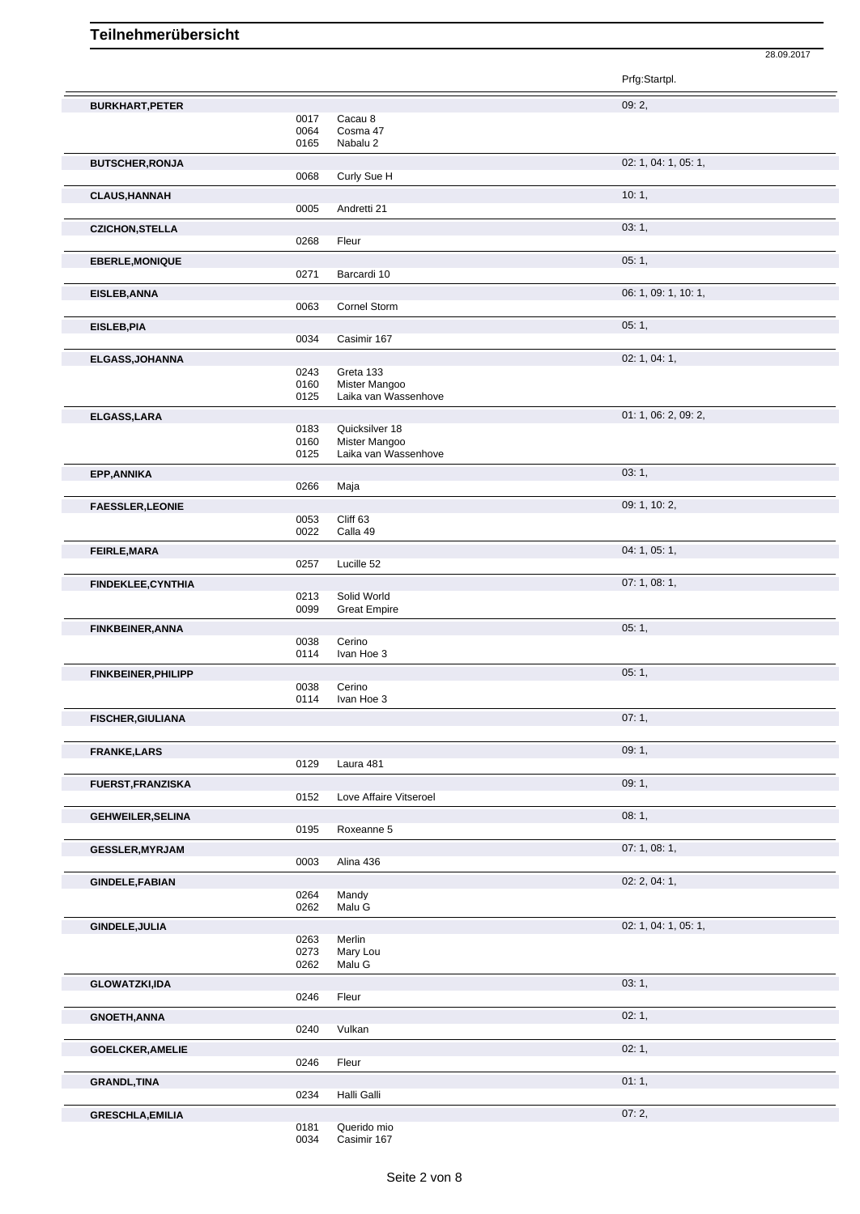Prfg:Startpl. **BURKHART, PETER** 09: 2, 09: 2, 09: 2, 09: 2, 09: 2, 09: 2, 09: 2, 09: 2, 09: 2, 09: 2, 09: 2, 09: 2, 09: 2, 09: 2, 09: 2, 09: 2, 09: 2, 09: 2, 00: 2, 00: 2, 00: 2, 00: 2, 00: 2, 00: 2, 00: 2, 00: 2, 00: 2, 00: 2, 00: 2, 0 0017 Cacau 8<br>0064 Cosma 4 Cosma 47 0165 Nabalu 2 **BUTSCHER, RONJA** 02: 1, 04: 1, 05: 1, 06: 1, 06: 1, 06: 1, 06: 1, 06: 1, 06: 1, 05: 1, 05: 1, 05: 1, 05: 1, 05: 1, 05: 1, 05: 1, 05: 1, 05: 1, 05: 1, 05: 1, 05: 1, 05: 1, 05: 1, 05: 1, 05: 1, 05: 1, 05: 1, 05: 1, 05: 1, 0 Curly Sue H **CLAUS, HANNAH** 10: 1, 2005 Andretti 21 Andretti 21 **CZICHON,STELLA** 03: 1, 0268 Fleur **EBERLE, MONIQUE** 05: 1, 0271 Barcardi 10 **EISLEB,ANNA** 06: 1, 09: 1, 10: 1, 0063 Cornel Storm **EISLEB,PIA** 05: 1, 0034 Casimir 167 **ELGASS,JOHANNA** 02: 1, 04: 1, Greta 133 0160 Mister Mangoo<br>0125 Laika van Wass Laika van Wassenhove **ELGASS, LARA** 01: 1, 06: 2, 09: 2, 09: 2, 09: 2, 09: 2, 09: 2, 09: 2, 09: 2, 09: 2, 09: 2, 09: 2, 09: 2, 09: 2, 09: 2, 09: 2, 09: 2, 09: 2, 09: 2, 09: 2, 09: 2, 09: 2, 09: 2, 09: 2, 09: 2, 09: 2, 09: 2, 09: 2, 09: 2, 09: 0183 Quicksilver 18<br>0160 Mister Mangod 0160 Mister Mangoo<br>0125 Laika van Wass Laika van Wassenhove **EPP,ANNIKA** 03: 1, 03: 1, 03: 1, 03: 1, 03: 1, 03: 1, 03: 1, 03: 1, 03: 1, 03: 1, 03: 1, 03: 1, 03: 1, 03: 1, 03: 1, 03: 1, 03: 1, 03: 1, 03: 1, 03: 1, 03: 1, 03: 1, 03: 1, 03: 1, 03: 1, 03: 1, 03: 1, 03: 1, 03: 1, 03: 1, 0266 Maja **FAESSLER, LEONIE** 0053 Cliff 63 0053 Cliff 63 Cliff 63 0022 Calla 49 **FEIRLE,MARA** 04: 1, 05: 1, 0257 Lucille 52 **FINDEKLEE,CYNTHIA** 07: 1, 08: 1, 0213 Solid World 0099 Great Empire **FINKBEINER, ANNA** 05: 1, 05: 1, 05: 1, 05: 1, 05: 1, 05: 1, 05: 1, 05: 1, 05: 1, 05: 1, 05: 1, 05: 1, 05: 1, 05: 1, 05: 1, 05: 1, 05: 1, 05: 1, 05: 1, 05: 1, 05: 1, 05: 1, 05: 1, 05: 1, 05: 1, 05: 1, 05: 1, 05: 1, 05: 1, 0038 Cerino 0114 Ivan Hoe 3 **FINKBEINER, PHILIPP** 05: 1, 0038 Cerino 0114 Ivan Hoe 3 **FISCHER,GIULIANA** 07: 1, **FRANKE,LARS** 09: 1, 0129 Laura 481 **FUERST,FRANZISKA** 09: 1, 09: 1, 09: 1, 09: 1, 09: 1, 09: 1, 09: 1, 09: 1, 09: 1, 09: 1, 09: 1, 09: 1, 09: 1, 09: 1, 09: 1, 09: 1, 09: 1, 09: 1, 09: 1, 09: 1, 09: 1, 09: 1, 09: 1, 09: 1, 09: 1, 09: 1, 09: 1, 09: 1, 09: 1, 0152 Love Affaire Vitseroel **GEHWEILER,SELINA** 08: 1, Roxeanne 5 **GESSLER, MYRJAM** 07: 1, 08: 1, 08: 1, 08: 1, 08: 1, 08: 1, 09: 1, 09: 1, 09: 1, 09: 1, 09: 1, 09: 1, 09: 1, 09: 1, 09: 1, 09: 1, 09: 1, 09: 1, 09: 1, 09: 1, 09: 1, 09: 1, 09: 1, 09: 1, 09: 1, 09: 1, 09: 1, 09: 1, 09: 1, 0 Alina 436 **GINDELE,FABIAN** 02: 2, 04: 1, 0264 Mandy<br>0262 Malu G Malu G **GINDELE, JULIA** 02: 1, 04: 1, 05: 1, 05: 1, 05: 1, 05: 1, 05: 1, 05: 1, 05: 1, 05: 1, 05: 1, 05: 1, 05: 1, 05: 1, 05: 1, 05: 1, 05: 1, 05: 1, 05: 1, 05: 1, 05: 1, 05: 1, 05: 1, 05: 1, 05: 1, 05: 1, 05: 1, 05: 1, 05: 1, 05 0263 Merlin<br>0273 Mary L 0273 Mary Lou<br>0262 Malu G Malu G **GLOWATZKI,IDA** 03: 1, 0246 Fleur **GNOETH,ANNA** 02: 1, Vulkan **GOELCKER,AMELIE** 02: 1, 0246 Fleur **GRANDL,TINA** 01: 1,

28.09.2017

**GRESCHLA,EMILIA** 07: 2, Querido mio

0034 Casimir 167

Halli Galli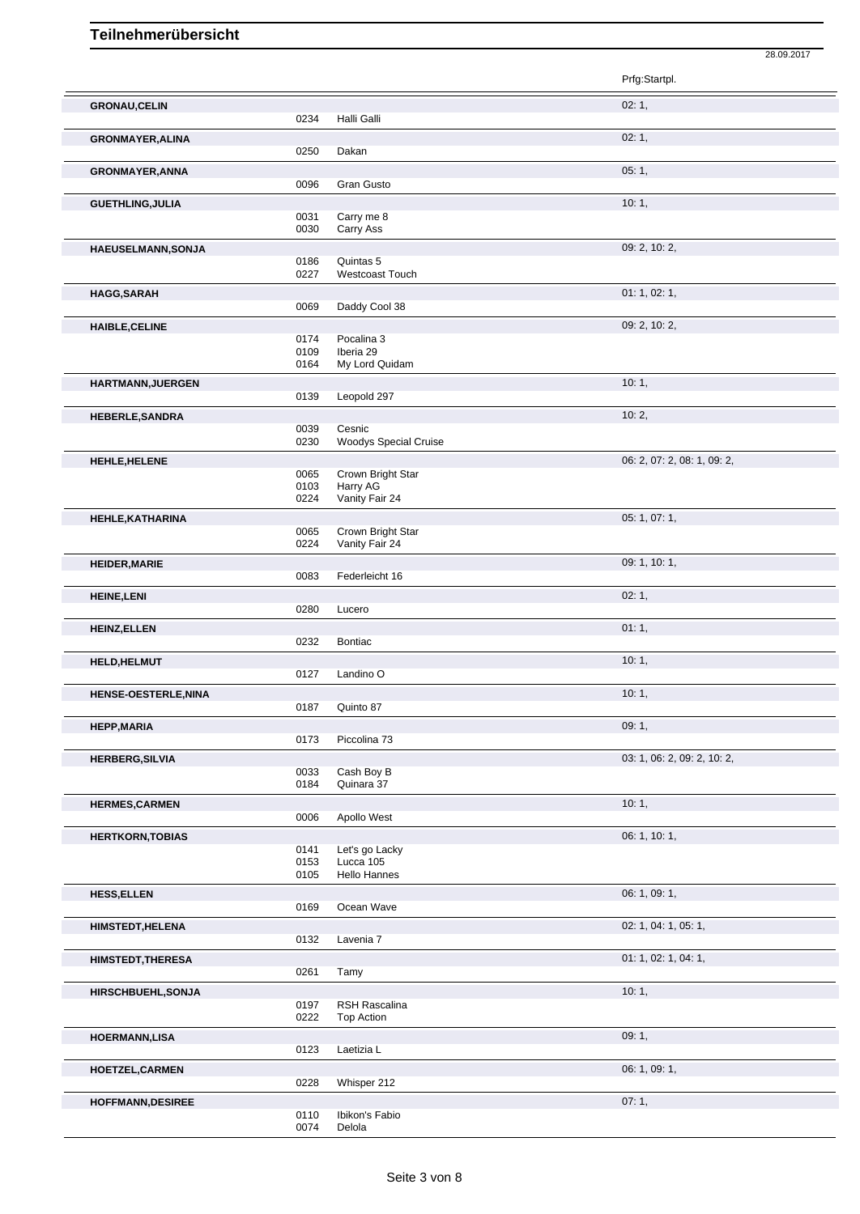|                           |              |                               | Prfg:Startpl.               |
|---------------------------|--------------|-------------------------------|-----------------------------|
| <b>GRONAU,CELIN</b>       |              |                               | 02:1,                       |
|                           | 0234         | Halli Galli                   |                             |
| <b>GRONMAYER, ALINA</b>   |              |                               | 02:1,                       |
|                           | 0250         | Dakan                         |                             |
| <b>GRONMAYER, ANNA</b>    |              |                               | 05:1,                       |
|                           | 0096         | <b>Gran Gusto</b>             |                             |
| <b>GUETHLING, JULIA</b>   |              |                               | 10:1,                       |
|                           | 0031         | Carry me 8                    |                             |
|                           | 0030         | Carry Ass                     |                             |
| <b>HAEUSELMANN, SONJA</b> | 0186         | Quintas 5                     | 09: 2, 10: 2,               |
|                           | 0227         | <b>Westcoast Touch</b>        |                             |
| <b>HAGG, SARAH</b>        |              |                               | 01: 1, 02: 1,               |
|                           | 0069         | Daddy Cool 38                 |                             |
| <b>HAIBLE, CELINE</b>     |              |                               | 09: 2, 10: 2,               |
|                           | 0174         | Pocalina 3                    |                             |
|                           | 0109<br>0164 | Iberia 29<br>My Lord Quidam   |                             |
|                           |              |                               | 10:1,                       |
| HARTMANN, JUERGEN         | 0139         | Leopold 297                   |                             |
| <b>HEBERLE, SANDRA</b>    |              |                               | 10:2,                       |
|                           | 0039         | Cesnic                        |                             |
|                           | 0230         | <b>Woodys Special Cruise</b>  |                             |
| HEHLE, HELENE             |              |                               | 06: 2, 07: 2, 08: 1, 09: 2, |
|                           | 0065<br>0103 | Crown Bright Star<br>Harry AG |                             |
|                           | 0224         | Vanity Fair 24                |                             |
| HEHLE, KATHARINA          |              |                               | 05: 1, 07: 1,               |
|                           | 0065         | Crown Bright Star             |                             |
|                           | 0224         | Vanity Fair 24                |                             |
| <b>HEIDER, MARIE</b>      | 0083         | Federleicht 16                | 09: 1, 10: 1,               |
|                           |              |                               | 02:1,                       |
| <b>HEINE, LENI</b>        | 0280         | Lucero                        |                             |
| <b>HEINZ, ELLEN</b>       |              |                               | 01:1,                       |
|                           | 0232         | <b>Bontiac</b>                |                             |
| HELD, HELMUT              |              |                               | 10:1,                       |
|                           | 0127         | Landino O                     |                             |
| HENSE-OESTERLE, NINA      |              |                               | 10:1,                       |
|                           | 0187         | Quinto 87                     |                             |
| <b>HEPP, MARIA</b>        | 0173         | Piccolina 73                  | 09:1,                       |
| <b>HERBERG, SILVIA</b>    |              |                               | 03: 1, 06: 2, 09: 2, 10: 2, |
|                           | 0033         | Cash Boy B                    |                             |
|                           | 0184         | Quinara 37                    |                             |
| <b>HERMES, CARMEN</b>     |              |                               | 10:1,                       |
|                           |              |                               |                             |
|                           | 0006         | Apollo West                   |                             |
| <b>HERTKORN, TOBIAS</b>   |              |                               | 06: 1, 10: 1,               |
|                           | 0141<br>0153 | Let's go Lacky<br>Lucca 105   |                             |
|                           | 0105         | <b>Hello Hannes</b>           |                             |
| <b>HESS, ELLEN</b>        |              |                               | 06: 1, 09: 1,               |
|                           | 0169         | Ocean Wave                    |                             |
| <b>HIMSTEDT, HELENA</b>   |              |                               | 02: 1, 04: 1, 05: 1,        |
|                           | 0132         | Lavenia 7                     |                             |
| <b>HIMSTEDT, THERESA</b>  | 0261         | Tamy                          | 01: 1, 02: 1, 04: 1,        |
|                           |              |                               |                             |
| HIRSCHBUEHL, SONJA        | 0197         | RSH Rascalina                 | 10:1,                       |
|                           | 0222         | Top Action                    |                             |
| <b>HOERMANN,LISA</b>      |              |                               | 09:1,                       |
|                           | 0123         | Laetizia L                    |                             |
| HOETZEL, CARMEN           |              |                               | 06: 1, 09: 1,               |
| <b>HOFFMANN, DESIREE</b>  | 0228         | Whisper 212                   | 07:1,                       |

28.09.2017

0110 Ibikon's Fabio 0074 Delola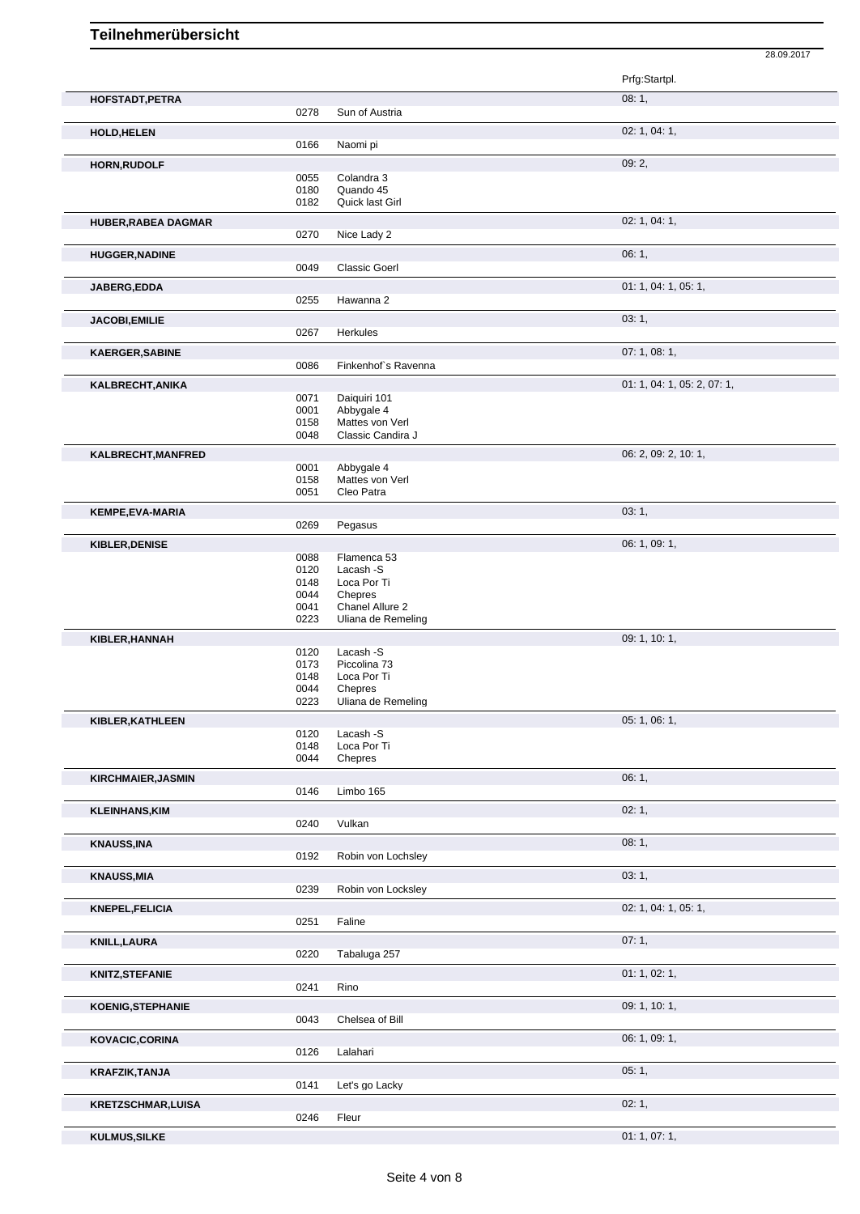|                            |              |                                       | 28.09.2017                  |
|----------------------------|--------------|---------------------------------------|-----------------------------|
|                            |              |                                       | Prfg:Startpl.               |
| HOFSTADT, PETRA            |              |                                       | 08:1,                       |
|                            | 0278         | Sun of Austria                        |                             |
| <b>HOLD, HELEN</b>         |              |                                       | 02: 1, 04: 1,               |
|                            | 0166         | Naomi pi                              |                             |
| HORN, RUDOLF               |              |                                       | 09: 2,                      |
|                            | 0055         | Colandra 3                            |                             |
|                            | 0180         | Quando 45                             |                             |
|                            | 0182         | Quick last Girl                       |                             |
| <b>HUBER, RABEA DAGMAR</b> |              |                                       | 02: 1, 04: 1,               |
|                            | 0270         | Nice Lady 2                           |                             |
| <b>HUGGER, NADINE</b>      |              |                                       | 06:1,                       |
|                            | 0049         | <b>Classic Goerl</b>                  |                             |
| JABERG, EDDA               |              |                                       | 01: 1, 04: 1, 05: 1,        |
|                            | 0255         | Hawanna 2                             |                             |
| <b>JACOBI,EMILIE</b>       |              |                                       | 03:1,                       |
|                            | 0267         | Herkules                              |                             |
| <b>KAERGER, SABINE</b>     |              |                                       | 07: 1, 08: 1,               |
|                            | 0086         | Finkenhof's Ravenna                   |                             |
| KALBRECHT, ANIKA           |              |                                       | 01: 1, 04: 1, 05: 2, 07: 1, |
|                            | 0071         | Daiquiri 101                          |                             |
|                            | 0001<br>0158 | Abbygale 4<br>Mattes von Verl         |                             |
|                            | 0048         | Classic Candira J                     |                             |
|                            |              |                                       | 06: 2, 09: 2, 10: 1,        |
| KALBRECHT, MANFRED         | 0001         | Abbygale 4                            |                             |
|                            | 0158         | Mattes von Verl                       |                             |
|                            | 0051         | Cleo Patra                            |                             |
| KEMPE, EVA-MARIA           |              |                                       | 03:1,                       |
|                            | 0269         | Pegasus                               |                             |
| KIBLER, DENISE             |              |                                       | 06: 1, 09: 1,               |
|                            | 0088         | Flamenca 53                           |                             |
|                            | 0120         | Lacash -S                             |                             |
|                            | 0148         | Loca Por Ti                           |                             |
|                            | 0044         | Chepres                               |                             |
|                            | 0041<br>0223 | Chanel Allure 2<br>Uliana de Remeling |                             |
|                            |              |                                       |                             |
| KIBLER, HANNAH             | 0120         | Lacash -S                             | 09: 1, 10: 1,               |
|                            | 0173         | Piccolina 73                          |                             |
|                            | 0148         | Loca Por Ti                           |                             |
|                            | 0044         | Chepres                               |                             |
|                            | 0223         | Uliana de Remeling                    |                             |
| KIBLER, KATHLEEN           |              |                                       | 05: 1, 06: 1,               |
|                            | 0120         | Lacash -S                             |                             |
|                            | 0148         | Loca Por Ti                           |                             |
|                            | 0044         | Chepres                               |                             |
| <b>KIRCHMAIER, JASMIN</b>  |              |                                       | 06: 1,                      |
|                            | 0146         | Limbo 165                             |                             |
| <b>KLEINHANS, KIM</b>      |              |                                       | 02:1,                       |
|                            | 0240         | Vulkan                                |                             |
| <b>KNAUSS, INA</b>         |              |                                       | 08:1,                       |
|                            | 0192         | Robin von Lochsley                    |                             |
| <b>KNAUSS, MIA</b>         |              |                                       | 03: 1,                      |
|                            | 0239         | Robin von Locksley                    |                             |
| KNEPEL, FELICIA            |              |                                       | 02: 1, 04: 1, 05: 1,        |
|                            | 0251         | Faline                                |                             |
| <b>KNILL, LAURA</b>        |              |                                       | 07:1,                       |
|                            | 0220         | Tabaluga 257                          |                             |
| KNITZ, STEFANIE            |              |                                       | 01: 1, 02: 1,               |
|                            | 0241         | Rino                                  |                             |
| <b>KOENIG, STEPHANIE</b>   |              |                                       | 09: 1, 10: 1,               |
|                            | 0043         | Chelsea of Bill                       |                             |
| KOVACIC, CORINA            |              |                                       | 06: 1, 09: 1,               |
|                            | 0126         | Lalahari                              |                             |
| KRAFZIK, TANJA             |              |                                       | 05:1,                       |
|                            | 0141         | Let's go Lacky                        |                             |
| KRETZSCHMAR, LUISA         |              |                                       | 02:1,                       |
|                            | 0246         | Fleur                                 |                             |
|                            |              |                                       |                             |

```
KULMUS,SILKE 01: 1, 07: 1,
```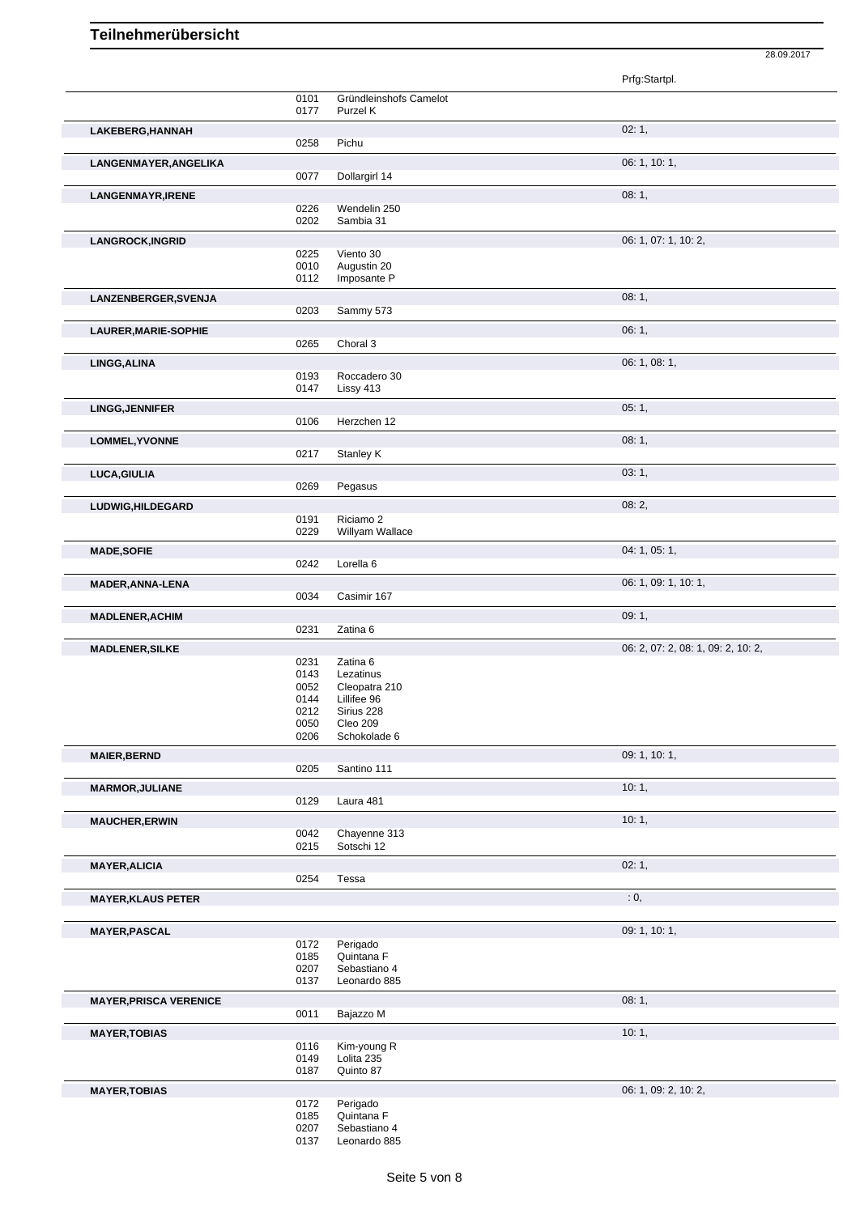|                               |              |                              | Prfg:Startpl.                      |
|-------------------------------|--------------|------------------------------|------------------------------------|
|                               | 0101         | Gründleinshofs Camelot       |                                    |
|                               | 0177         | Purzel K                     |                                    |
| LAKEBERG, HANNAH              |              |                              | 02:1,                              |
|                               | 0258         | Pichu                        |                                    |
| LANGENMAYER, ANGELIKA         |              |                              | 06: 1, 10: 1,                      |
|                               | 0077         | Dollargirl 14                |                                    |
| <b>LANGENMAYR, IRENE</b>      |              |                              | 08:1,                              |
|                               | 0226         | Wendelin 250                 |                                    |
|                               | 0202         | Sambia 31                    |                                    |
| <b>LANGROCK, INGRID</b>       |              |                              | 06: 1, 07: 1, 10: 2,               |
|                               | 0225         | Viento 30                    |                                    |
|                               | 0010         | Augustin 20                  |                                    |
|                               | 0112         | Imposante P                  |                                    |
| LANZENBERGER, SVENJA          |              |                              | 08:1,                              |
|                               | 0203         | Sammy 573                    |                                    |
| <b>LAURER, MARIE-SOPHIE</b>   |              |                              | 06:1,                              |
|                               | 0265         | Choral 3                     |                                    |
| LINGG, ALINA                  |              |                              | 06: 1, 08: 1,                      |
|                               | 0193         | Roccadero 30                 |                                    |
|                               | 0147         | Lissy 413                    |                                    |
| <b>LINGG, JENNIFER</b>        |              |                              | 05:1,                              |
|                               | 0106         | Herzchen 12                  |                                    |
| LOMMEL, YVONNE                |              |                              | 08:1,                              |
|                               | 0217         | Stanley K                    |                                    |
| LUCA, GIULIA                  |              |                              | 03:1,                              |
|                               | 0269         | Pegasus                      |                                    |
| LUDWIG,HILDEGARD              |              |                              | 08:2,                              |
|                               | 0191         | Riciamo 2                    |                                    |
|                               | 0229         | Willyam Wallace              |                                    |
| <b>MADE, SOFIE</b>            |              |                              | 04: 1, 05: 1,                      |
|                               | 0242         | Lorella <sub>6</sub>         |                                    |
| <b>MADER, ANNA-LENA</b>       |              |                              | 06: 1, 09: 1, 10: 1,               |
|                               | 0034         | Casimir 167                  |                                    |
| <b>MADLENER, ACHIM</b>        |              |                              | 09:1,                              |
|                               | 0231         | Zatina 6                     |                                    |
| <b>MADLENER, SILKE</b>        |              |                              | 06: 2, 07: 2, 08: 1, 09: 2, 10: 2, |
|                               | 0231         | Zatina 6                     |                                    |
|                               | 0143         | Lezatinus                    |                                    |
|                               | 0052<br>0144 | Cleopatra 210<br>Lillifee 96 |                                    |
|                               | 0212         | Sirius 228                   |                                    |
|                               | 0050         | Cleo 209                     |                                    |
|                               | 0206         | Schokolade 6                 |                                    |
| <b>MAIER, BERND</b>           |              |                              | 09: 1, 10: 1,                      |
|                               | 0205         | Santino 111                  |                                    |
| <b>MARMOR, JULIANE</b>        |              |                              | 10:1,                              |
|                               | 0129         | Laura 481                    |                                    |
| <b>MAUCHER, ERWIN</b>         |              |                              | 10:1,                              |
|                               | 0042         | Chayenne 313                 |                                    |
|                               | 0215         | Sotschi 12                   |                                    |
| <b>MAYER, ALICIA</b>          |              |                              | 02:1,                              |
|                               | 0254         | Tessa                        |                                    |
| <b>MAYER, KLAUS PETER</b>     |              |                              | : 0,                               |
|                               |              |                              |                                    |
| <b>MAYER, PASCAL</b>          |              |                              | 09: 1, 10: 1,                      |
|                               | 0172         | Perigado                     |                                    |
|                               | 0185         | Quintana F                   |                                    |
|                               | 0207         | Sebastiano 4<br>Leonardo 885 |                                    |
|                               | 0137         |                              |                                    |
| <b>MAYER, PRISCA VERENICE</b> |              |                              | 08: 1,                             |
|                               | 0011         | Bajazzo M                    |                                    |
| <b>MAYER, TOBIAS</b>          |              |                              | 10:1,                              |
|                               | 0116<br>0149 | Kim-young R<br>Lolita 235    |                                    |
|                               | 0187         | Quinto 87                    |                                    |
| <b>MAYER, TOBIAS</b>          |              |                              | 06: 1, 09: 2, 10: 2,               |
|                               | 0172         | Perigado                     |                                    |
|                               | 0185         | Quintana F                   |                                    |
|                               | 0207         | Sebastiano 4<br>Leonardo 885 |                                    |
|                               | 0137         |                              |                                    |

28.09.2017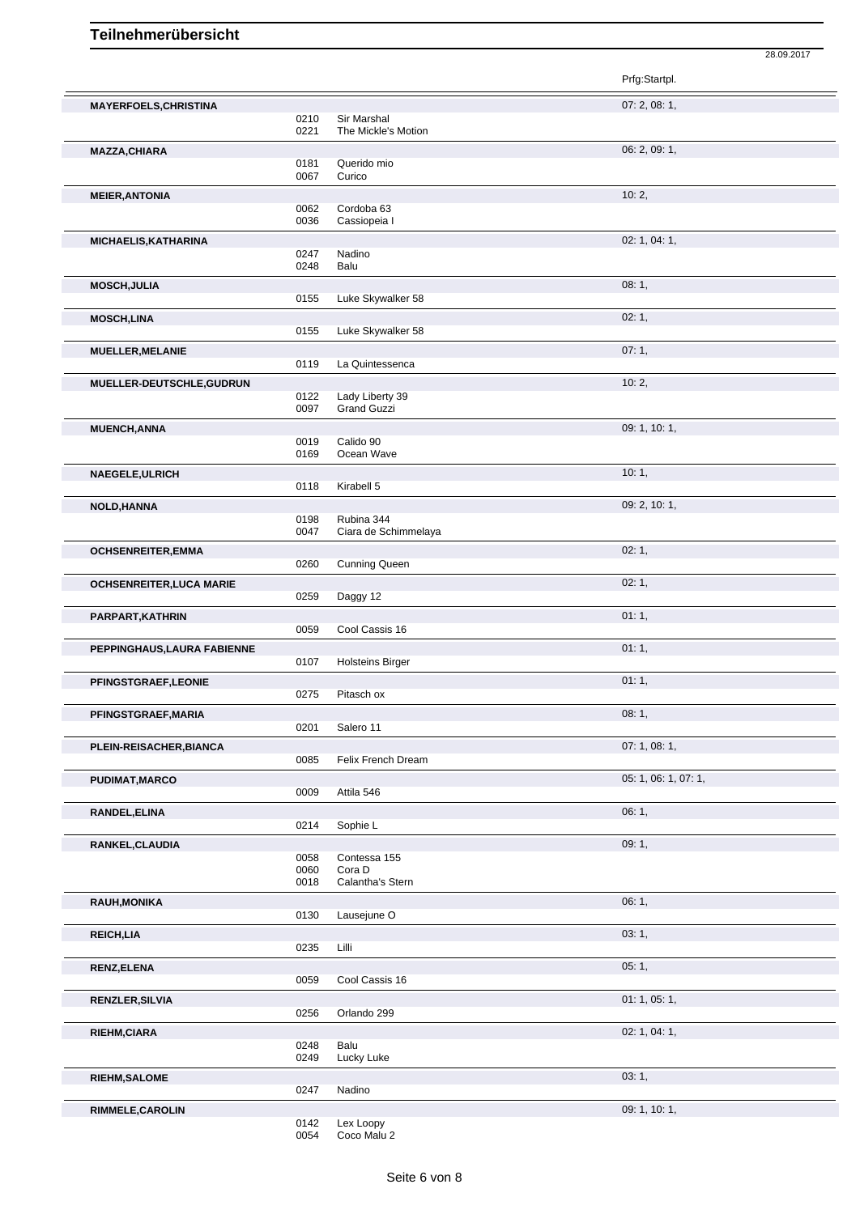| <b>MAYERFOELS, CHRISTINA</b> |      |                         | 07: 2, 08: 1,        |
|------------------------------|------|-------------------------|----------------------|
|                              | 0210 | Sir Marshal             |                      |
|                              | 0221 | The Mickle's Motion     |                      |
|                              |      |                         |                      |
| <b>MAZZA, CHIARA</b>         |      |                         | 06: 2, 09: 1,        |
|                              |      |                         |                      |
|                              | 0181 | Querido mio             |                      |
|                              | 0067 | Curico                  |                      |
|                              |      |                         | 10:2,                |
| <b>MEIER, ANTONIA</b>        |      |                         |                      |
|                              | 0062 | Cordoba 63              |                      |
|                              | 0036 | Cassiopeia I            |                      |
|                              |      |                         |                      |
| <b>MICHAELIS, KATHARINA</b>  |      |                         | 02: 1, 04: 1,        |
|                              | 0247 | Nadino                  |                      |
|                              | 0248 | Balu                    |                      |
|                              |      |                         |                      |
| <b>MOSCH, JULIA</b>          |      |                         | 08:1,                |
|                              | 0155 | Luke Skywalker 58       |                      |
|                              |      |                         |                      |
| <b>MOSCH,LINA</b>            |      |                         | 02:1,                |
|                              | 0155 | Luke Skywalker 58       |                      |
|                              |      |                         |                      |
| MUELLER, MELANIE             |      |                         | 07:1,                |
|                              | 0119 | La Quintessenca         |                      |
|                              |      |                         |                      |
| MUELLER-DEUTSCHLE, GUDRUN    |      |                         | 10:2,                |
|                              | 0122 | Lady Liberty 39         |                      |
|                              | 0097 | <b>Grand Guzzi</b>      |                      |
|                              |      |                         |                      |
| <b>MUENCH, ANNA</b>          |      |                         | 09: 1, 10: 1,        |
|                              | 0019 | Calido 90               |                      |
|                              | 0169 | Ocean Wave              |                      |
|                              |      |                         |                      |
| NAEGELE, ULRICH              |      |                         | 10:1,                |
|                              | 0118 | Kirabell 5              |                      |
|                              |      |                         |                      |
| NOLD, HANNA                  |      |                         | 09: 2, 10: 1,        |
|                              | 0198 | Rubina 344              |                      |
|                              | 0047 | Ciara de Schimmelaya    |                      |
|                              |      |                         |                      |
| <b>OCHSENREITER, EMMA</b>    |      |                         | 02:1,                |
|                              | 0260 | <b>Cunning Queen</b>    |                      |
|                              |      |                         |                      |
| OCHSENREITER, LUCA MARIE     |      |                         | 02:1,                |
|                              | 0259 | Daggy 12                |                      |
|                              |      |                         |                      |
|                              |      |                         |                      |
| PARPART, KATHRIN             |      |                         | 01:1,                |
|                              |      |                         |                      |
|                              | 0059 | Cool Cassis 16          |                      |
| PEPPINGHAUS, LAURA FABIENNE  |      |                         | 01:1,                |
|                              |      |                         |                      |
|                              | 0107 | <b>Holsteins Birger</b> |                      |
| PFINGSTGRAEF, LEONIE         |      |                         | 01:1,                |
|                              | 0275 | Pitasch ox              |                      |
|                              |      |                         |                      |
| PFINGSTGRAEF, MARIA          |      |                         | 08:1,                |
|                              | 0201 | Salero 11               |                      |
|                              |      |                         |                      |
| PLEIN-REISACHER, BIANCA      |      |                         | 07:1,08:1,           |
|                              | 0085 | Felix French Dream      |                      |
|                              |      |                         |                      |
| PUDIMAT, MARCO               |      |                         | 05: 1, 06: 1, 07: 1, |
|                              | 0009 | Attila 546              |                      |
|                              |      |                         |                      |
| RANDEL, ELINA                |      |                         | 06:1,                |
|                              | 0214 | Sophie L                |                      |
|                              |      |                         |                      |
| RANKEL, CLAUDIA              |      |                         | 09:1,                |
|                              | 0058 | Contessa 155            |                      |
|                              | 0060 | Cora D                  |                      |
|                              | 0018 | Calantha's Stern        |                      |
|                              |      |                         |                      |
| RAUH, MONIKA                 |      |                         | 06:1,                |
|                              | 0130 | Lausejune O             |                      |
|                              |      |                         |                      |
| <b>REICH, LIA</b>            |      |                         | 03:1,                |
|                              | 0235 | Lilli                   |                      |
|                              |      |                         |                      |
| RENZ, ELENA                  |      |                         | 05:1,                |
|                              | 0059 | Cool Cassis 16          |                      |
|                              |      |                         |                      |
| RENZLER, SILVIA              |      |                         | 01: 1, 05: 1,        |
|                              | 0256 | Orlando 299             |                      |
|                              |      |                         |                      |
| RIEHM, CIARA                 |      |                         | 02: 1, 04: 1,        |
|                              | 0248 | Balu                    |                      |
|                              |      |                         |                      |
|                              | 0249 | Lucky Luke              |                      |
| <b>RIEHM, SALOME</b>         |      |                         | 03:1,                |
|                              | 0247 | Nadino                  |                      |
|                              |      |                         |                      |
| RIMMELE, CAROLIN             | 0142 | Lex Loopy               | 09: 1, 10: 1,        |

28.09.2017

Prfg:Startpl.

0054 Coco Malu 2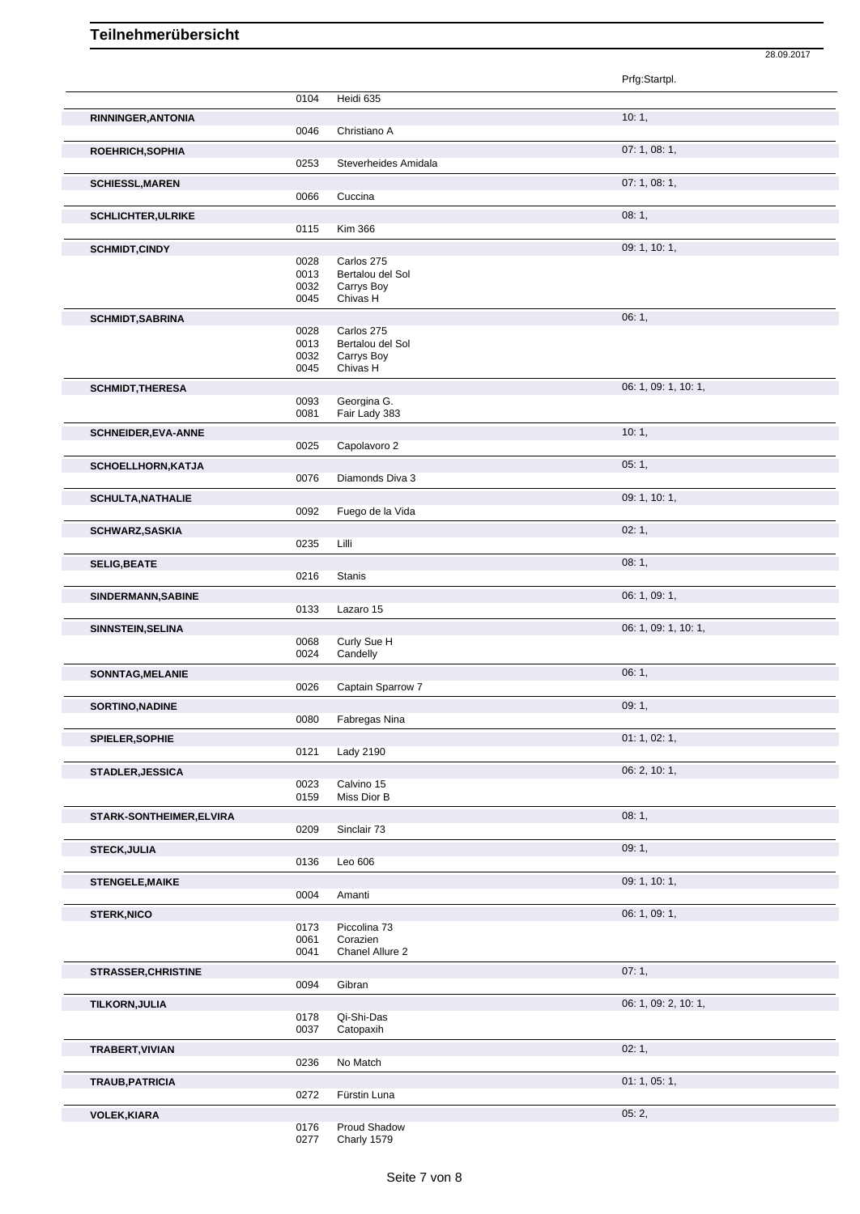|                            |              |                                | Prfg:Startpl.        |
|----------------------------|--------------|--------------------------------|----------------------|
|                            | 0104         | Heidi 635                      |                      |
| RINNINGER, ANTONIA         |              |                                | 10:1,                |
|                            | 0046         | Christiano A                   |                      |
| ROEHRICH, SOPHIA           |              |                                | 07: 1, 08: 1,        |
|                            | 0253         | Steverheides Amidala           |                      |
|                            |              |                                |                      |
| <b>SCHIESSL, MAREN</b>     | 0066         | Cuccina                        | 07: 1, 08: 1,        |
|                            |              |                                |                      |
| <b>SCHLICHTER, ULRIKE</b>  |              |                                | 08:1,                |
|                            | 0115         | <b>Kim 366</b>                 |                      |
| <b>SCHMIDT,CINDY</b>       |              |                                | 09: 1, 10: 1,        |
|                            | 0028<br>0013 | Carlos 275<br>Bertalou del Sol |                      |
|                            | 0032         | Carrys Boy                     |                      |
|                            | 0045         | Chivas H                       |                      |
| <b>SCHMIDT, SABRINA</b>    |              |                                | 06:1,                |
|                            | 0028         | Carlos 275                     |                      |
|                            | 0013         | Bertalou del Sol               |                      |
|                            | 0032         | Carrys Boy                     |                      |
|                            | 0045         | Chivas H                       |                      |
| <b>SCHMIDT, THERESA</b>    |              |                                | 06: 1, 09: 1, 10: 1, |
|                            | 0093         | Georgina G.                    |                      |
|                            | 0081         | Fair Lady 383                  |                      |
| <b>SCHNEIDER, EVA-ANNE</b> |              |                                | 10:1,                |
|                            | 0025         | Capolavoro 2                   |                      |
| SCHOELLHORN, KATJA         |              |                                | 05:1,                |
|                            | 0076         | Diamonds Diva 3                |                      |
| <b>SCHULTA, NATHALIE</b>   |              |                                | 09: 1, 10: 1,        |
|                            | 0092         | Fuego de la Vida               |                      |
|                            |              |                                | 02:1,                |
| SCHWARZ, SASKIA            | 0235         | Lilli                          |                      |
|                            |              |                                |                      |
| <b>SELIG, BEATE</b>        |              |                                | 08:1,                |
|                            | 0216         | <b>Stanis</b>                  |                      |
| SINDERMANN, SABINE         |              |                                | 06: 1, 09: 1,        |
|                            | 0133         | Lazaro 15                      |                      |
| SINNSTEIN, SELINA          |              |                                | 06: 1, 09: 1, 10: 1, |
|                            | 0068         | Curly Sue H                    |                      |
|                            | 0024         | Candelly                       |                      |
| SONNTAG, MELANIE           |              |                                | 06:1,                |
|                            | 0026         | Captain Sparrow 7              |                      |
| <b>SORTINO, NADINE</b>     |              |                                | 09:1,                |
|                            | 0080         | Fabregas Nina                  |                      |
| SPIELER, SOPHIE            |              |                                | 01: 1, 02: 1,        |
|                            | 0121         | <b>Lady 2190</b>               |                      |
| STADLER, JESSICA           |              |                                | 06: 2, 10: 1,        |
|                            | 0023         | Calvino 15                     |                      |
|                            | 0159         | Miss Dior B                    |                      |
| STARK-SONTHEIMER, ELVIRA   |              |                                | 08:1,                |
|                            | 0209         | Sinclair 73                    |                      |
| <b>STECK, JULIA</b>        |              |                                | 09:1,                |
|                            | 0136         | Leo 606                        |                      |
|                            |              |                                |                      |
| <b>STENGELE, MAIKE</b>     | 0004         | Amanti                         | 09: 1, 10: 1,        |
|                            |              |                                |                      |
| <b>STERK, NICO</b>         |              |                                | 06: 1, 09: 1,        |
|                            | 0173<br>0061 | Piccolina 73<br>Corazien       |                      |
|                            | 0041         | Chanel Allure 2                |                      |
|                            |              |                                |                      |
| <b>STRASSER, CHRISTINE</b> | 0094         | Gibran                         | 07:1,                |
|                            |              |                                |                      |
| TILKORN, JULIA             |              |                                | 06: 1, 09: 2, 10: 1, |
|                            | 0178<br>0037 | Qi-Shi-Das<br>Catopaxih        |                      |
|                            |              |                                |                      |
| TRABERT, VIVIAN            |              |                                | 02:1,                |
|                            | 0236         | No Match                       |                      |
| TRAUB, PATRICIA            |              |                                | 01: 1, 05: 1,        |
|                            | 0272         | Fürstin Luna                   |                      |
| <b>VOLEK, KIARA</b>        |              |                                | 05:2,                |
|                            |              |                                |                      |

28.09.2017

0176 Proud Shadow 0277 Charly 1579